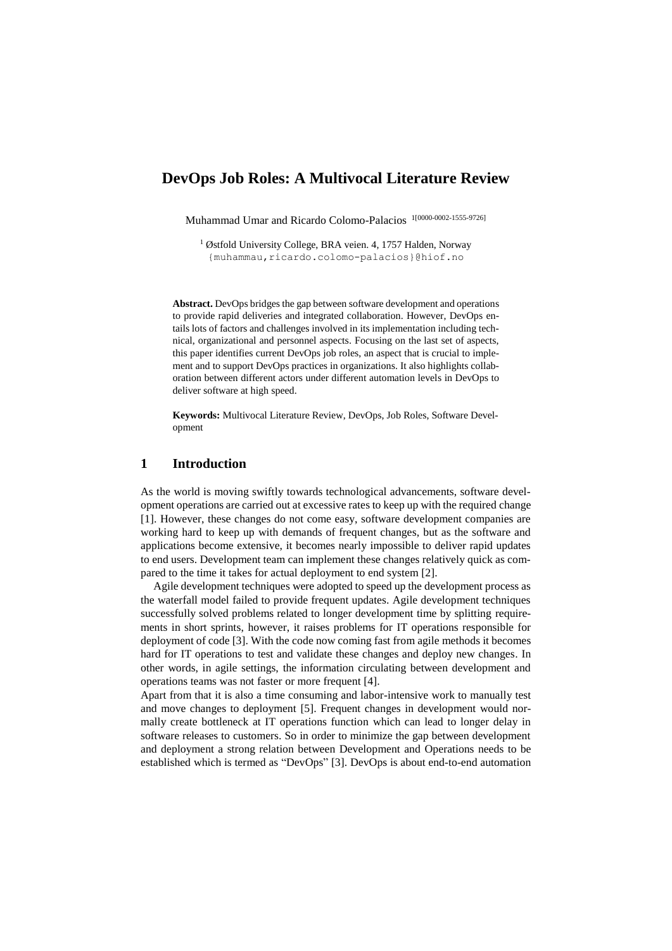# **DevOps Job Roles: A Multivocal Literature Review**

Muhammad Umar and Ricardo Colomo-Palacios 1[0000-0002-1555-9726]

<sup>1</sup> Østfold University College, BRA veien. 4, 1757 Halden, Norway {muhammau,ricardo.colomo-palacios}@hiof.no

**Abstract.** DevOps bridges the gap between software development and operations to provide rapid deliveries and integrated collaboration. However, DevOps entails lots of factors and challenges involved in its implementation including technical, organizational and personnel aspects. Focusing on the last set of aspects, this paper identifies current DevOps job roles, an aspect that is crucial to implement and to support DevOps practices in organizations. It also highlights collaboration between different actors under different automation levels in DevOps to deliver software at high speed.

**Keywords:** Multivocal Literature Review, DevOps, Job Roles, Software Development

# **1 Introduction**

As the world is moving swiftly towards technological advancements, software development operations are carried out at excessive rates to keep up with the required change [1]. However, these changes do not come easy, software development companies are working hard to keep up with demands of frequent changes, but as the software and applications become extensive, it becomes nearly impossible to deliver rapid updates to end users. Development team can implement these changes relatively quick as compared to the time it takes for actual deployment to end system [2].

Agile development techniques were adopted to speed up the development process as the waterfall model failed to provide frequent updates. Agile development techniques successfully solved problems related to longer development time by splitting requirements in short sprints, however, it raises problems for IT operations responsible for deployment of code [3]. With the code now coming fast from agile methods it becomes hard for IT operations to test and validate these changes and deploy new changes. In other words, in agile settings, the information circulating between development and operations teams was not faster or more frequent [4].

Apart from that it is also a time consuming and labor-intensive work to manually test and move changes to deployment [5]. Frequent changes in development would normally create bottleneck at IT operations function which can lead to longer delay in software releases to customers. So in order to minimize the gap between development and deployment a strong relation between Development and Operations needs to be established which is termed as "DevOps" [3]. DevOps is about end-to-end automation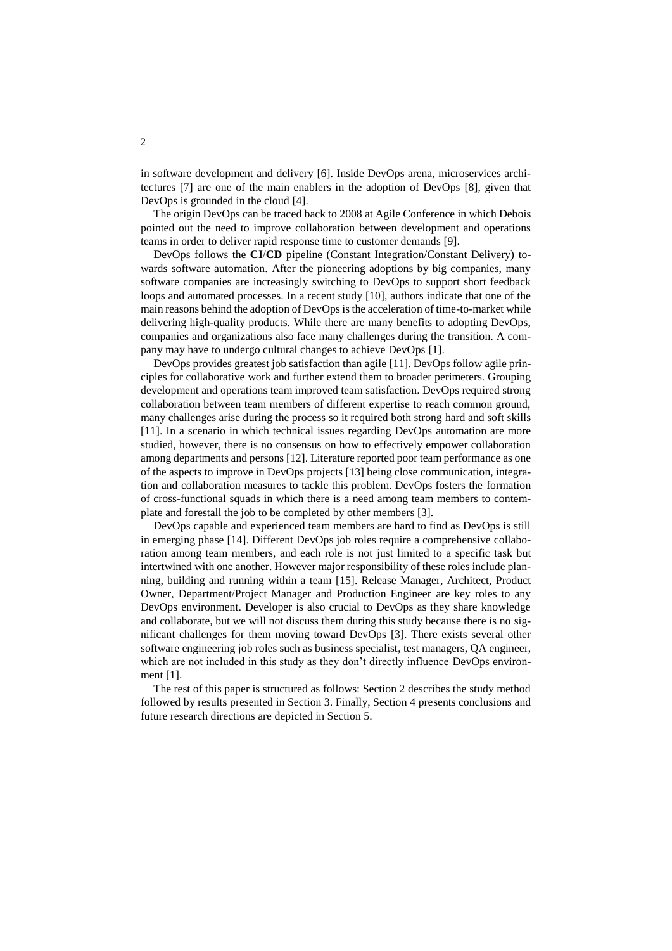in software development and delivery [6]. Inside DevOps arena, microservices architectures [7] are one of the main enablers in the adoption of DevOps [8], given that DevOps is grounded in the cloud [4].

The origin DevOps can be traced back to 2008 at Agile Conference in which Debois pointed out the need to improve collaboration between development and operations teams in order to deliver rapid response time to customer demands [9].

DevOps follows the **CI**/**CD** pipeline (Constant Integration/Constant Delivery) towards software automation. After the pioneering adoptions by big companies, many software companies are increasingly switching to DevOps to support short feedback loops and automated processes. In a recent study [10], authors indicate that one of the main reasons behind the adoption of DevOps is the acceleration of time-to-market while delivering high-quality products. While there are many benefits to adopting DevOps, companies and organizations also face many challenges during the transition. A company may have to undergo cultural changes to achieve DevOps [1].

DevOps provides greatest job satisfaction than agile [11]. DevOps follow agile principles for collaborative work and further extend them to broader perimeters. Grouping development and operations team improved team satisfaction. DevOps required strong collaboration between team members of different expertise to reach common ground, many challenges arise during the process so it required both strong hard and soft skills [11]. In a scenario in which technical issues regarding DevOps automation are more studied, however, there is no consensus on how to effectively empower collaboration among departments and persons [12]. Literature reported poor team performance as one of the aspects to improve in DevOps projects [13] being close communication, integration and collaboration measures to tackle this problem. DevOps fosters the formation of cross-functional squads in which there is a need among team members to contemplate and forestall the job to be completed by other members [3].

DevOps capable and experienced team members are hard to find as DevOps is still in emerging phase [14]. Different DevOps job roles require a comprehensive collaboration among team members, and each role is not just limited to a specific task but intertwined with one another. However major responsibility of these roles include planning, building and running within a team [15]. Release Manager, Architect, Product Owner, Department/Project Manager and Production Engineer are key roles to any DevOps environment. Developer is also crucial to DevOps as they share knowledge and collaborate, but we will not discuss them during this study because there is no significant challenges for them moving toward DevOps [3]. There exists several other software engineering job roles such as business specialist, test managers, QA engineer, which are not included in this study as they don't directly influence DevOps environment [1].

The rest of this paper is structured as follows: Section 2 describes the study method followed by results presented in Section 3. Finally, Section 4 presents conclusions and future research directions are depicted in Section 5.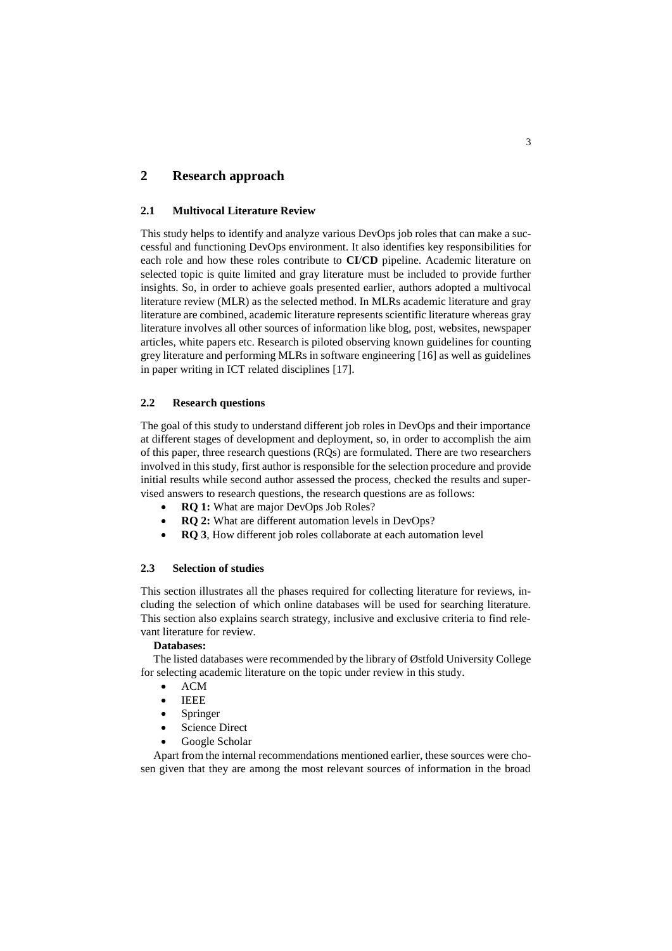# **2 Research approach**

### **2.1 Multivocal Literature Review**

This study helps to identify and analyze various DevOps job roles that can make a successful and functioning DevOps environment. It also identifies key responsibilities for each role and how these roles contribute to **CI**/**CD** pipeline. Academic literature on selected topic is quite limited and gray literature must be included to provide further insights. So, in order to achieve goals presented earlier, authors adopted a multivocal literature review (MLR) as the selected method. In MLRs academic literature and gray literature are combined, academic literature represents scientific literature whereas gray literature involves all other sources of information like blog, post, websites, newspaper articles, white papers etc. Research is piloted observing known guidelines for counting grey literature and performing MLRs in software engineering [16] as well as guidelines in paper writing in ICT related disciplines [17].

## **2.2 Research questions**

The goal of this study to understand different job roles in DevOps and their importance at different stages of development and deployment, so, in order to accomplish the aim of this paper, three research questions (RQs) are formulated. There are two researchers involved in this study, first author is responsible for the selection procedure and provide initial results while second author assessed the process, checked the results and supervised answers to research questions, the research questions are as follows:

- **RQ 1:** What are major DevOps Job Roles?
- **RQ 2:** What are different automation levels in DevOps?
- **RQ 3**, How different job roles collaborate at each automation level

### **2.3 Selection of studies**

This section illustrates all the phases required for collecting literature for reviews, including the selection of which online databases will be used for searching literature. This section also explains search strategy, inclusive and exclusive criteria to find relevant literature for review.

### **Databases:**

The listed databases were recommended by the library of Østfold University College for selecting academic literature on the topic under review in this study.

- ACM
- IEEE
- Springer
- Science Direct
- Google Scholar

Apart from the internal recommendations mentioned earlier, these sources were chosen given that they are among the most relevant sources of information in the broad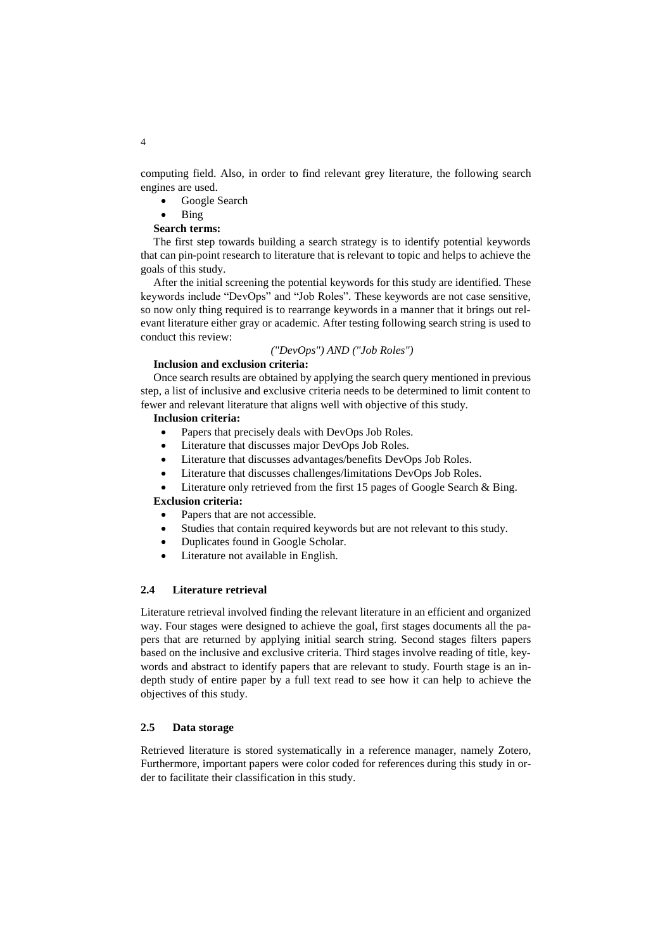computing field. Also, in order to find relevant grey literature, the following search engines are used.

- Google Search
- Bing

# **Search terms:**

The first step towards building a search strategy is to identify potential keywords that can pin-point research to literature that is relevant to topic and helps to achieve the goals of this study.

After the initial screening the potential keywords for this study are identified. These keywords include "DevOps" and "Job Roles". These keywords are not case sensitive, so now only thing required is to rearrange keywords in a manner that it brings out relevant literature either gray or academic. After testing following search string is used to conduct this review:

## *("DevOps") AND ("Job Roles")*

### **Inclusion and exclusion criteria:**

Once search results are obtained by applying the search query mentioned in previous step, a list of inclusive and exclusive criteria needs to be determined to limit content to fewer and relevant literature that aligns well with objective of this study.

### **Inclusion criteria:**

- Papers that precisely deals with DevOps Job Roles.
- Literature that discusses major DevOps Job Roles.
- Literature that discusses advantages/benefits DevOps Job Roles.
- Literature that discusses challenges/limitations DevOps Job Roles.
- Literature only retrieved from the first 15 pages of Google Search & Bing.

### **Exclusion criteria:**

- Papers that are not accessible.
- Studies that contain required keywords but are not relevant to this study.
- Duplicates found in Google Scholar.
- Literature not available in English.

### **2.4 Literature retrieval**

Literature retrieval involved finding the relevant literature in an efficient and organized way. Four stages were designed to achieve the goal, first stages documents all the papers that are returned by applying initial search string. Second stages filters papers based on the inclusive and exclusive criteria. Third stages involve reading of title, keywords and abstract to identify papers that are relevant to study. Fourth stage is an indepth study of entire paper by a full text read to see how it can help to achieve the objectives of this study.

### **2.5 Data storage**

Retrieved literature is stored systematically in a reference manager, namely Zotero, Furthermore, important papers were color coded for references during this study in order to facilitate their classification in this study.

### 4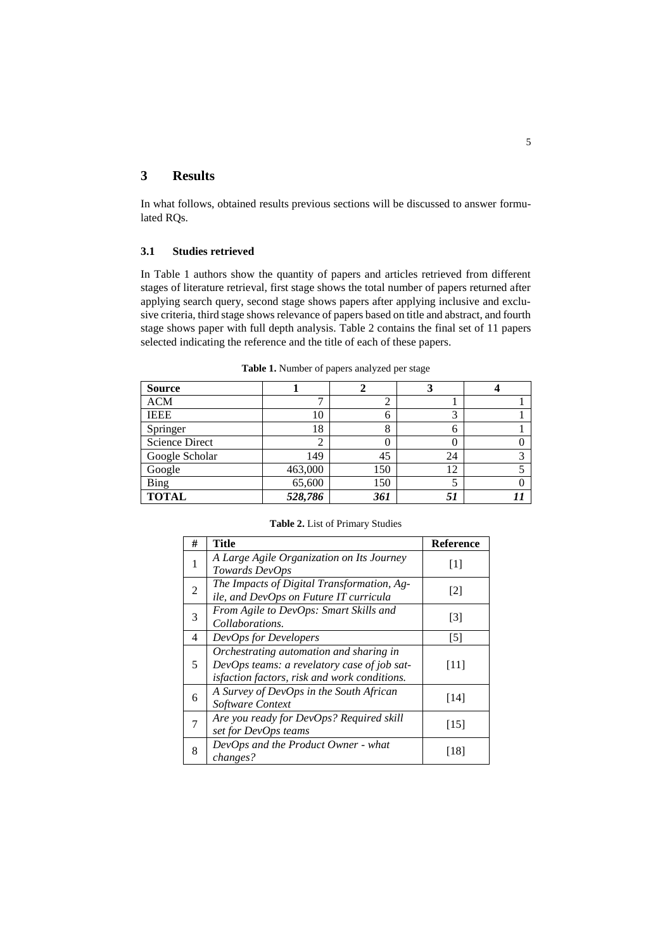# **3 Results**

In what follows, obtained results previous sections will be discussed to answer formulated RQs.

### **3.1 Studies retrieved**

In Table 1 authors show the quantity of papers and articles retrieved from different stages of literature retrieval, first stage shows the total number of papers returned after applying search query, second stage shows papers after applying inclusive and exclusive criteria, third stage shows relevance of papers based on title and abstract, and fourth stage shows paper with full depth analysis. Table 2 contains the final set of 11 papers selected indicating the reference and the title of each of these papers.

| <b>Source</b>         |         |     |    |  |
|-----------------------|---------|-----|----|--|
| <b>ACM</b>            |         |     |    |  |
| <b>IEEE</b>           | 10      | n   |    |  |
| Springer              | 18      | 8   | 6  |  |
| <b>Science Direct</b> |         |     | O  |  |
| Google Scholar        | 149     | 45  | 24 |  |
| Google                | 463,000 | 150 | 12 |  |
| <b>Bing</b>           | 65,600  | 150 |    |  |
| <b>TOTAL</b>          | 528,786 | 361 | 51 |  |

**Table 1.** Number of papers analyzed per stage

| #              | Title                                                                                                                                  | <b>Reference</b>  |
|----------------|----------------------------------------------------------------------------------------------------------------------------------------|-------------------|
| 1              | A Large Agile Organization on Its Journey<br>Towards DevOps                                                                            | $\lceil 1 \rceil$ |
| $\overline{2}$ | The Impacts of Digital Transformation, Ag-<br>ile, and DevOps on Future IT curricula                                                   | $\lceil 2 \rceil$ |
| 3              | From Agile to DevOps: Smart Skills and<br>Collaborations.                                                                              | $\lceil 3 \rceil$ |
| 4              | DevOps for Developers                                                                                                                  | $\lceil 5 \rceil$ |
| 5              | Orchestrating automation and sharing in<br>DevOps teams: a revelatory case of job sat-<br>isfaction factors, risk and work conditions. | [11]              |
| 6              | A Survey of DevOps in the South African<br>Software Context                                                                            | [14]              |
|                | Are you ready for DevOps? Required skill<br>set for DevOps teams                                                                       | [15]              |
| 8              | DevOps and the Product Owner - what<br>changes?                                                                                        | [18]              |

**Table 2.** List of Primary Studies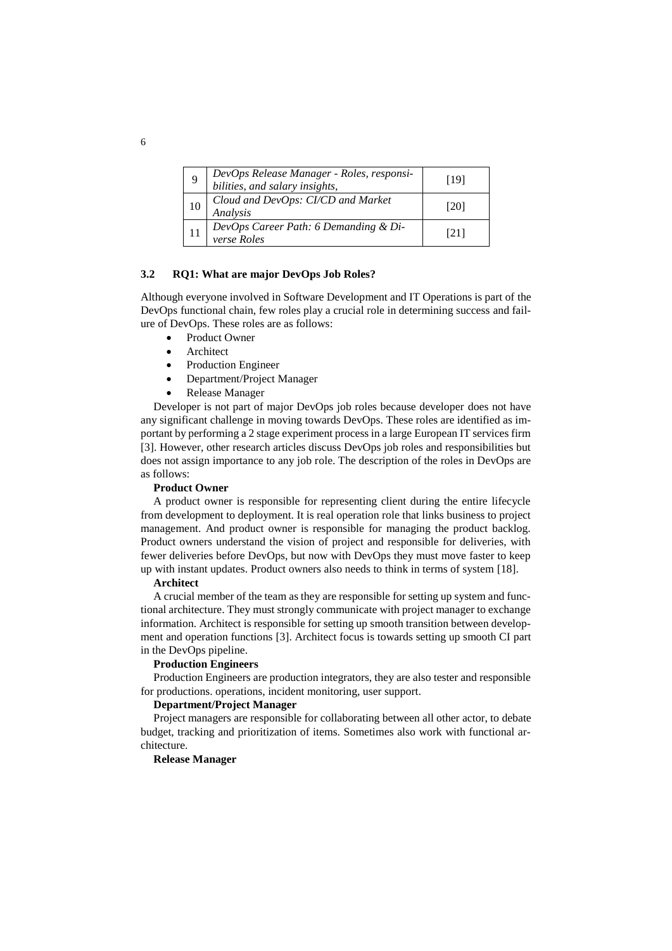| 9   | DevOps Release Manager - Roles, responsi-<br>bilities, and salary insights, | [19] |
|-----|-----------------------------------------------------------------------------|------|
| 10  | Cloud and DevOps: CI/CD and Market<br>Analysis                              | [20] |
| -11 | DevOps Career Path: 6 Demanding & Di-<br>verse Roles                        | [21] |

### **3.2 RQ1: What are major DevOps Job Roles?**

Although everyone involved in Software Development and IT Operations is part of the DevOps functional chain, few roles play a crucial role in determining success and failure of DevOps. These roles are as follows:

- Product Owner
- Architect
- Production Engineer
- Department/Project Manager
- Release Manager

Developer is not part of major DevOps job roles because developer does not have any significant challenge in moving towards DevOps. These roles are identified as important by performing a 2 stage experiment process in a large European IT services firm [3]. However, other research articles discuss DevOps job roles and responsibilities but does not assign importance to any job role. The description of the roles in DevOps are as follows:

### **Product Owner**

A product owner is responsible for representing client during the entire lifecycle from development to deployment. It is real operation role that links business to project management. And product owner is responsible for managing the product backlog. Product owners understand the vision of project and responsible for deliveries, with fewer deliveries before DevOps, but now with DevOps they must move faster to keep up with instant updates. Product owners also needs to think in terms of system [18].

#### **Architect**

A crucial member of the team as they are responsible for setting up system and functional architecture. They must strongly communicate with project manager to exchange information. Architect is responsible for setting up smooth transition between development and operation functions [3]. Architect focus is towards setting up smooth CI part in the DevOps pipeline.

### **Production Engineers**

Production Engineers are production integrators, they are also tester and responsible for productions. operations, incident monitoring, user support.

#### **Department/Project Manager**

Project managers are responsible for collaborating between all other actor, to debate budget, tracking and prioritization of items. Sometimes also work with functional architecture.

### **Release Manager**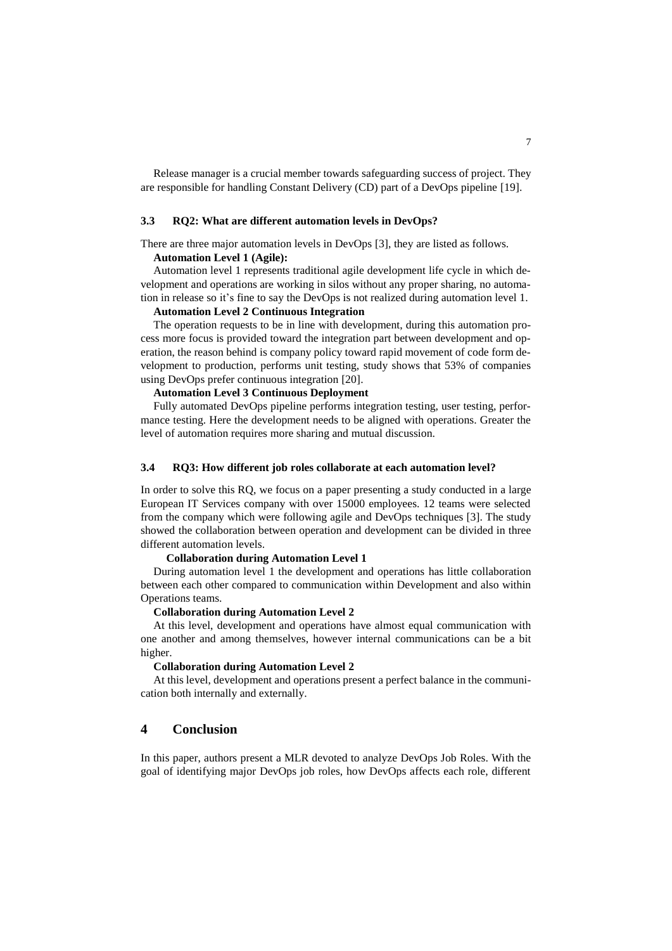Release manager is a crucial member towards safeguarding success of project. They are responsible for handling Constant Delivery (CD) part of a DevOps pipeline [19].

#### **3.3 RQ2: What are different automation levels in DevOps?**

There are three major automation levels in DevOps [3], they are listed as follows.

### **Automation Level 1 (Agile):**

Automation level 1 represents traditional agile development life cycle in which development and operations are working in silos without any proper sharing, no automation in release so it's fine to say the DevOps is not realized during automation level 1.

### **Automation Level 2 Continuous Integration**

The operation requests to be in line with development, during this automation process more focus is provided toward the integration part between development and operation, the reason behind is company policy toward rapid movement of code form development to production, performs unit testing, study shows that 53% of companies using DevOps prefer continuous integration [20].

## **Automation Level 3 Continuous Deployment**

Fully automated DevOps pipeline performs integration testing, user testing, performance testing. Here the development needs to be aligned with operations. Greater the level of automation requires more sharing and mutual discussion.

### **3.4 RQ3: How different job roles collaborate at each automation level?**

In order to solve this RQ, we focus on a paper presenting a study conducted in a large European IT Services company with over 15000 employees. 12 teams were selected from the company which were following agile and DevOps techniques [3]. The study showed the collaboration between operation and development can be divided in three different automation levels.

#### **Collaboration during Automation Level 1**

During automation level 1 the development and operations has little collaboration between each other compared to communication within Development and also within Operations teams.

### **Collaboration during Automation Level 2**

At this level, development and operations have almost equal communication with one another and among themselves, however internal communications can be a bit higher.

#### **Collaboration during Automation Level 2**

At this level, development and operations present a perfect balance in the communication both internally and externally.

# **4 Conclusion**

In this paper, authors present a MLR devoted to analyze DevOps Job Roles. With the goal of identifying major DevOps job roles, how DevOps affects each role, different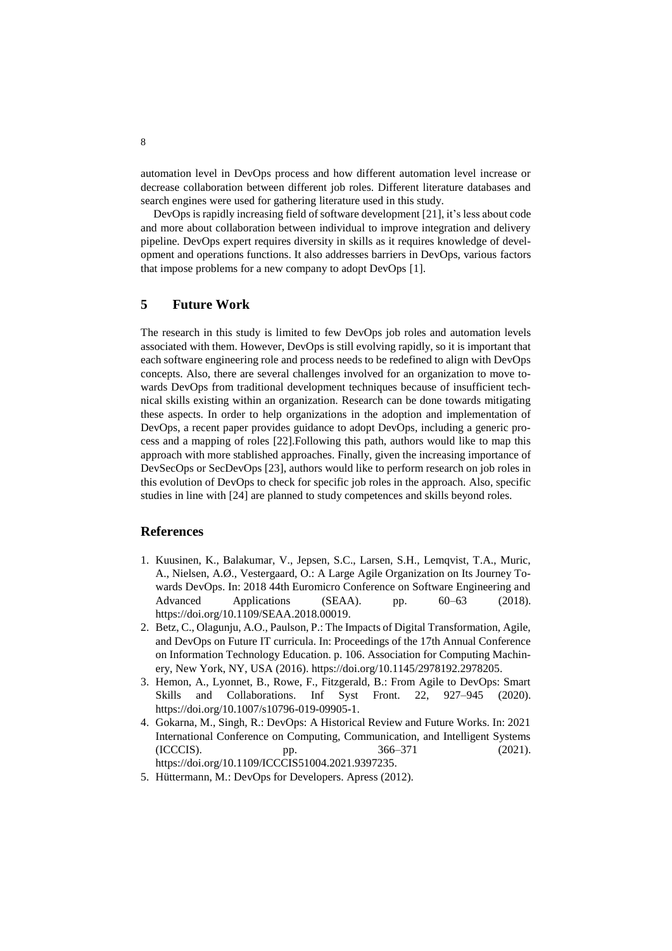automation level in DevOps process and how different automation level increase or decrease collaboration between different job roles. Different literature databases and search engines were used for gathering literature used in this study.

DevOps is rapidly increasing field of software development [21], it's less about code and more about collaboration between individual to improve integration and delivery pipeline. DevOps expert requires diversity in skills as it requires knowledge of development and operations functions. It also addresses barriers in DevOps, various factors that impose problems for a new company to adopt DevOps [1].

# **5 Future Work**

The research in this study is limited to few DevOps job roles and automation levels associated with them. However, DevOps is still evolving rapidly, so it is important that each software engineering role and process needs to be redefined to align with DevOps concepts. Also, there are several challenges involved for an organization to move towards DevOps from traditional development techniques because of insufficient technical skills existing within an organization. Research can be done towards mitigating these aspects. In order to help organizations in the adoption and implementation of DevOps, a recent paper provides guidance to adopt DevOps, including a generic process and a mapping of roles [22].Following this path, authors would like to map this approach with more stablished approaches. Finally, given the increasing importance of DevSecOps or SecDevOps [23], authors would like to perform research on job roles in this evolution of DevOps to check for specific job roles in the approach. Also, specific studies in line with [24] are planned to study competences and skills beyond roles.

## **References**

- 1. Kuusinen, K., Balakumar, V., Jepsen, S.C., Larsen, S.H., Lemqvist, T.A., Muric, A., Nielsen, A.Ø., Vestergaard, O.: A Large Agile Organization on Its Journey Towards DevOps. In: 2018 44th Euromicro Conference on Software Engineering and Advanced Applications (SEAA). pp. 60–63 (2018). https://doi.org/10.1109/SEAA.2018.00019.
- 2. Betz, C., Olagunju, A.O., Paulson, P.: The Impacts of Digital Transformation, Agile, and DevOps on Future IT curricula. In: Proceedings of the 17th Annual Conference on Information Technology Education. p. 106. Association for Computing Machinery, New York, NY, USA (2016). https://doi.org/10.1145/2978192.2978205.
- 3. Hemon, A., Lyonnet, B., Rowe, F., Fitzgerald, B.: From Agile to DevOps: Smart Skills and Collaborations. Inf Syst Front. 22, 927–945 (2020). https://doi.org/10.1007/s10796-019-09905-1.
- 4. Gokarna, M., Singh, R.: DevOps: A Historical Review and Future Works. In: 2021 International Conference on Computing, Communication, and Intelligent Systems (ICCCIS). pp.  $366-371$  (2021). https://doi.org/10.1109/ICCCIS51004.2021.9397235.
- 5. Hüttermann, M.: DevOps for Developers. Apress (2012).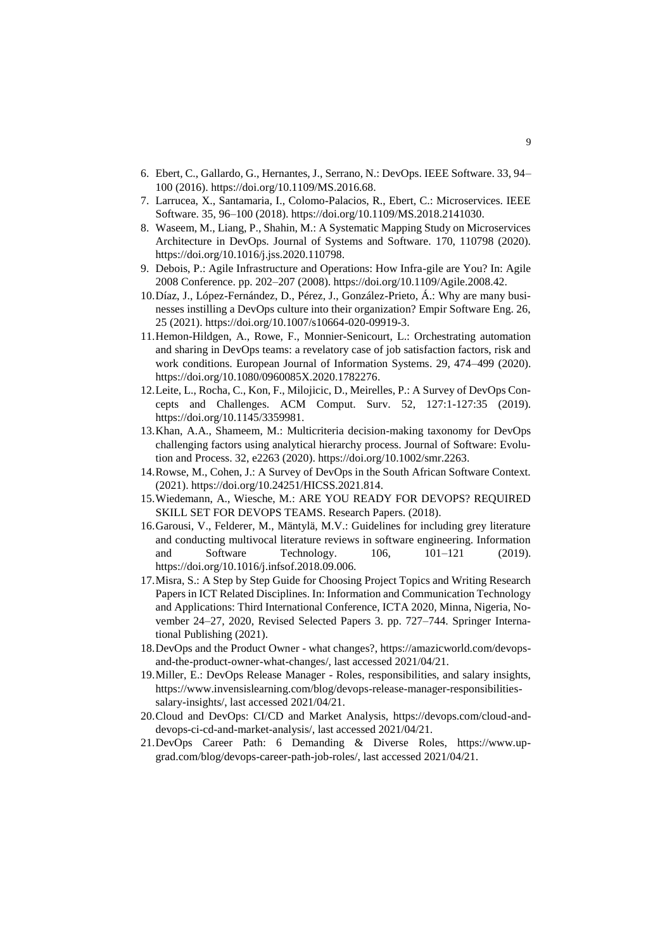- 6. Ebert, C., Gallardo, G., Hernantes, J., Serrano, N.: DevOps. IEEE Software. 33, 94– 100 (2016). https://doi.org/10.1109/MS.2016.68.
- 7. Larrucea, X., Santamaria, I., Colomo-Palacios, R., Ebert, C.: Microservices. IEEE Software. 35, 96–100 (2018). https://doi.org/10.1109/MS.2018.2141030.
- 8. Waseem, M., Liang, P., Shahin, M.: A Systematic Mapping Study on Microservices Architecture in DevOps. Journal of Systems and Software. 170, 110798 (2020). https://doi.org/10.1016/j.jss.2020.110798.
- 9. Debois, P.: Agile Infrastructure and Operations: How Infra-gile are You? In: Agile 2008 Conference. pp. 202–207 (2008). https://doi.org/10.1109/Agile.2008.42.
- 10.Díaz, J., López-Fernández, D., Pérez, J., González-Prieto, Á.: Why are many businesses instilling a DevOps culture into their organization? Empir Software Eng. 26, 25 (2021). https://doi.org/10.1007/s10664-020-09919-3.
- 11.Hemon-Hildgen, A., Rowe, F., Monnier-Senicourt, L.: Orchestrating automation and sharing in DevOps teams: a revelatory case of job satisfaction factors, risk and work conditions. European Journal of Information Systems. 29, 474–499 (2020). https://doi.org/10.1080/0960085X.2020.1782276.
- 12.Leite, L., Rocha, C., Kon, F., Milojicic, D., Meirelles, P.: A Survey of DevOps Concepts and Challenges. ACM Comput. Surv. 52, 127:1-127:35 (2019). https://doi.org/10.1145/3359981.
- 13.Khan, A.A., Shameem, M.: Multicriteria decision-making taxonomy for DevOps challenging factors using analytical hierarchy process. Journal of Software: Evolution and Process. 32, e2263 (2020). https://doi.org/10.1002/smr.2263.
- 14.Rowse, M., Cohen, J.: A Survey of DevOps in the South African Software Context. (2021). https://doi.org/10.24251/HICSS.2021.814.
- 15.Wiedemann, A., Wiesche, M.: ARE YOU READY FOR DEVOPS? REQUIRED SKILL SET FOR DEVOPS TEAMS. Research Papers. (2018).
- 16.Garousi, V., Felderer, M., Mäntylä, M.V.: Guidelines for including grey literature and conducting multivocal literature reviews in software engineering. Information and Software Technology. 106, 101–121 (2019). https://doi.org/10.1016/j.infsof.2018.09.006.
- 17.Misra, S.: A Step by Step Guide for Choosing Project Topics and Writing Research Papers in ICT Related Disciplines. In: Information and Communication Technology and Applications: Third International Conference, ICTA 2020, Minna, Nigeria, November 24–27, 2020, Revised Selected Papers 3. pp. 727–744. Springer International Publishing (2021).
- 18.DevOps and the Product Owner what changes?, https://amazicworld.com/devopsand-the-product-owner-what-changes/, last accessed 2021/04/21.
- 19.Miller, E.: DevOps Release Manager Roles, responsibilities, and salary insights, https://www.invensislearning.com/blog/devops-release-manager-responsibilitiessalary-insights/, last accessed 2021/04/21.
- 20.Cloud and DevOps: CI/CD and Market Analysis, https://devops.com/cloud-anddevops-ci-cd-and-market-analysis/, last accessed 2021/04/21.
- 21.DevOps Career Path: 6 Demanding & Diverse Roles, https://www.upgrad.com/blog/devops-career-path-job-roles/, last accessed 2021/04/21.